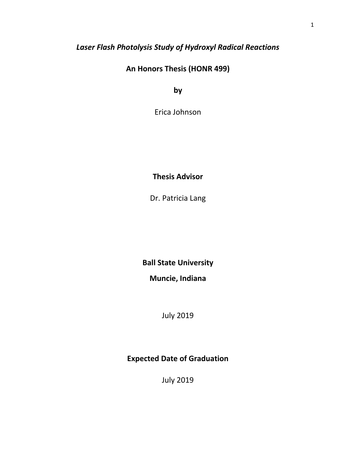## *Laser Flash Photolysis Study of Hydroxyl Radical Reactions*

**An Honors Thesis (HONR 499)** 

**by** 

Erica Johnson

## **Thesis Advisor**

Dr. Patricia Lang

**Ball State University** 

**Muncie, Indiana**

July 2019

## **Expected Date of Graduation**

July 2019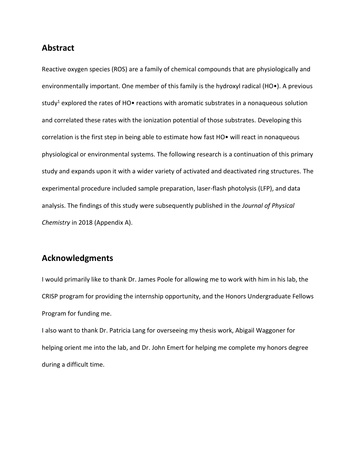### **Abstract**

Reactive oxygen species (ROS) are a family of chemical compounds that are physiologically and environmentally important. One member of this family is the hydroxyl radical (HO•). A previous study<sup>1</sup> explored the rates of HO $\bullet$  reactions with aromatic substrates in a nonaqueous solution and correlated these rates with the ionization potential of those substrates. Developing this correlation is the first step in being able to estimate how fast HO• will react in nonaqueous physiological or environmental systems. The following research is a continuation of this primary study and expands upon it with a wider variety of activated and deactivated ring structures. The experimental procedure included sample preparation, laser-flash photolysis (LFP), and data analysis. The findings of this study were subsequently published in the *Journal of Physical Chemistry* in 2018 (Appendix A).

## **Acknowledgments**

I would primarily like to thank Dr. James Poole for allowing me to work with him in his lab, the CRISP program for providing the internship opportunity, and the Honors Undergraduate Fellows Program for funding me.

I also want to thank Dr. Patricia Lang for overseeing my thesis work, Abigail Waggoner for helping orient me into the lab, and Dr. John Emert for helping me complete my honors degree during a difficult time.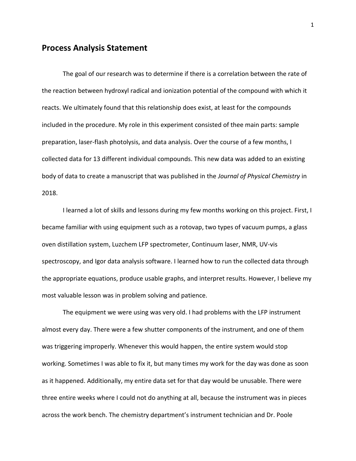#### **Process Analysis Statement**

The goal of our research was to determine if there is a correlation between the rate of the reaction between hydroxyl radical and ionization potential of the compound with which it reacts. We ultimately found that this relationship does exist, at least for the compounds included in the procedure. My role in this experiment consisted of thee main parts: sample preparation, laser-flash photolysis, and data analysis. Over the course of a few months, I collected data for 13 different individual compounds. This new data was added to an existing body of data to create a manuscript that was published in the *Journal of Physical Chemistry* in 2018.

I learned a lot of skills and lessons during my few months working on this project. First, I became familiar with using equipment such as a rotovap, two types of vacuum pumps, a glass oven distillation system, Luzchem LFP spectrometer, Continuum laser, NMR, UV-vis spectroscopy, and Igor data analysis software. I learned how to run the collected data through the appropriate equations, produce usable graphs, and interpret results. However, I believe my most valuable lesson was in problem solving and patience.

The equipment we were using was very old. I had problems with the LFP instrument almost every day. There were a few shutter components of the instrument, and one of them was triggering improperly. Whenever this would happen, the entire system would stop working. Sometimes I was able to fix it, but many times my work for the day was done as soon as it happened. Additionally, my entire data set for that day would be unusable. There were three entire weeks where I could not do anything at all, because the instrument was in pieces across the work bench. The chemistry department's instrument technician and Dr. Poole

1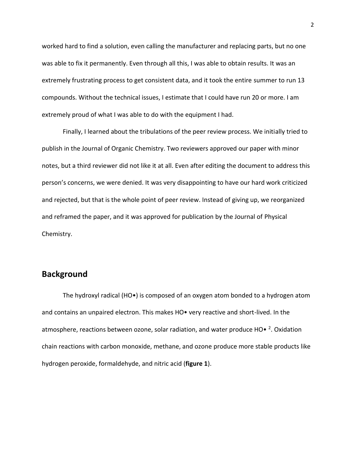worked hard to find a solution, even calling the manufacturer and replacing parts, but no one was able to fix it permanently. Even through all this, I was able to obtain results. It was an extremely frustrating process to get consistent data, and it took the entire summer to run 13 compounds. Without the technical issues, I estimate that I could have run 20 or more. I am extremely proud of what I was able to do with the equipment I had.

Finally, I learned about the tribulations of the peer review process. We initially tried to publish in the Journal of Organic Chemistry. Two reviewers approved our paper with minor notes, but a third reviewer did not like it at all. Even after editing the document to address this person's concerns, we were denied. It was very disappointing to have our hard work criticized and rejected, but that is the whole point of peer review. Instead of giving up, we reorganized and reframed the paper, and it was approved for publication by the Journal of Physical Chemistry.

#### **Background**

The hydroxyl radical (HO•) is composed of an oxygen atom bonded to a hydrogen atom and contains an unpaired electron. This makes HO• very reactive and short-lived. In the atmosphere, reactions between ozone, solar radiation, and water produce HO $\bullet$  <sup>2</sup>. Oxidation chain reactions with carbon monoxide, methane, and ozone produce more stable products like hydrogen peroxide, formaldehyde, and nitric acid (**figure 1**).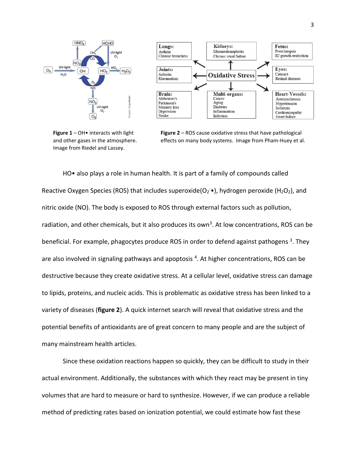

**Figure 1** – OH• interacts with light and other gases in the atmosphere. Image from Riedel and Lassey.



HO• also plays a role in human health. It is part of a family of compounds called Reactive Oxygen Species (ROS) that includes superoxide( $O_2$ <sup>-</sup>, hydrogen peroxide (H<sub>2</sub>O<sub>2</sub>), and nitric oxide (NO). The body is exposed to ROS through external factors such as pollution, radiation, and other chemicals, but it also produces its own<sup>3</sup>. At low concentrations, ROS can be beneficial. For example, phagocytes produce ROS in order to defend against pathogens<sup>3</sup>. They are also involved in signaling pathways and apoptosis <sup>4</sup>. At higher concentrations, ROS can be destructive because they create oxidative stress. At a cellular level, oxidative stress can damage to lipids, proteins, and nucleic acids. This is problematic as oxidative stress has been linked to a variety of diseases (**figure 2**). A quick internet search will reveal that oxidative stress and the potential benefits of antioxidants are of great concern to many people and are the subject of many mainstream health articles.

Since these oxidation reactions happen so quickly, they can be difficult to study in their actual environment. Additionally, the substances with which they react may be present in tiny volumes that are hard to measure or hard to synthesize. However, if we can produce a reliable method of predicting rates based on ionization potential, we could estimate how fast these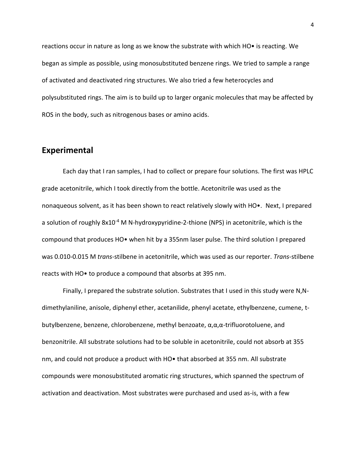reactions occur in nature as long as we know the substrate with which HO• is reacting. We began as simple as possible, using monosubstituted benzene rings. We tried to sample a range of activated and deactivated ring structures. We also tried a few heterocycles and polysubstituted rings. The aim is to build up to larger organic molecules that may be affected by ROS in the body, such as nitrogenous bases or amino acids.

#### **Experimental**

Each day that I ran samples, I had to collect or prepare four solutions. The first was HPLC grade acetonitrile, which I took directly from the bottle. Acetonitrile was used as the nonaqueous solvent, as it has been shown to react relatively slowly with HO•. Next, I prepared a solution of roughly  $8x10^{-4}$  M N-hydroxypyridine-2-thione (NPS) in acetonitrile, which is the compound that produces HO• when hit by a 355nm laser pulse. The third solution I prepared was 0.010-0.015 M *trans*-stilbene in acetonitrile, which was used as our reporter. *Trans*-stilbene reacts with HO• to produce a compound that absorbs at 395 nm.

Finally, I prepared the substrate solution. Substrates that I used in this study were N,Ndimethylaniline, anisole, diphenyl ether, acetanilide, phenyl acetate, ethylbenzene, cumene, tbutylbenzene, benzene, chlorobenzene, methyl benzoate, α,α,α-trifluorotoluene, and benzonitrile. All substrate solutions had to be soluble in acetonitrile, could not absorb at 355 nm, and could not produce a product with HO• that absorbed at 355 nm. All substrate compounds were monosubstituted aromatic ring structures, which spanned the spectrum of activation and deactivation. Most substrates were purchased and used as-is, with a few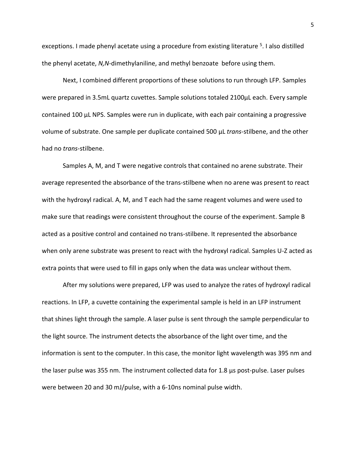exceptions. I made phenyl acetate using a procedure from existing literature <sup>5</sup>. I also distilled the phenyl acetate, *N,N*-dimethylaniline, and methyl benzoate before using them.

Next, I combined different proportions of these solutions to run through LFP. Samples were prepared in 3.5mL quartz cuvettes. Sample solutions totaled 2100μL each. Every sample contained 100 μL NPS. Samples were run in duplicate, with each pair containing a progressive volume of substrate. One sample per duplicate contained 500 μL *trans-*stilbene, and the other had no *trans-*stilbene.

Samples A, M, and T were negative controls that contained no arene substrate. Their average represented the absorbance of the trans-stilbene when no arene was present to react with the hydroxyl radical. A, M, and T each had the same reagent volumes and were used to make sure that readings were consistent throughout the course of the experiment. Sample B acted as a positive control and contained no trans-stilbene. It represented the absorbance when only arene substrate was present to react with the hydroxyl radical. Samples U-Z acted as extra points that were used to fill in gaps only when the data was unclear without them.

After my solutions were prepared, LFP was used to analyze the rates of hydroxyl radical reactions. In LFP, a cuvette containing the experimental sample is held in an LFP instrument that shines light through the sample. A laser pulse is sent through the sample perpendicular to the light source. The instrument detects the absorbance of the light over time, and the information is sent to the computer. In this case, the monitor light wavelength was 395 nm and the laser pulse was 355 nm. The instrument collected data for 1.8 μs post-pulse. Laser pulses were between 20 and 30 mJ/pulse, with a 6-10ns nominal pulse width.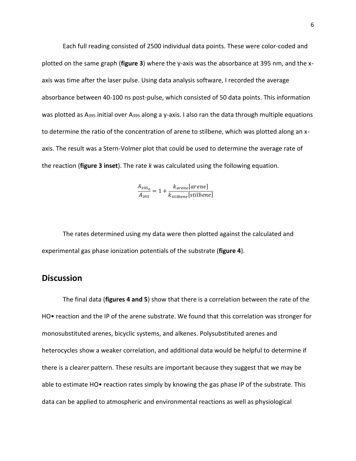Each full reading consisted of 2500 individual data points. These were color-coded and plotted on the same graph (**figure 3**) where the y-axis was the absorbance at 395 nm, and the xaxis was time after the laser pulse. Using data analysis software, I recorded the average absorbance between 40-100 ns post-pulse, which consisted of 50 data points. This information was plotted as A<sub>395</sub> initial over A<sub>395</sub> along a y-axis. I also ran the data through multiple equations to determine the ratio of the concentration of arene to stilbene, which was plotted along an xaxis. The result was a Stern-Volmer plot that could be used to determine the average rate of the reaction (**figure 3 inset**). The rate *k* was calculated using the following equation.

$$
\frac{A_{395_0}}{A_{395}} = 1 + \frac{k_{arene} [arene]}{k_{stilbene} [stilbene]}
$$

The rates determined using my data were then plotted against the calculated and experimental gas phase ionization potentials of the substrate (**figure 4**).

### **Discussion**

The final data (**figures 4 and 5**) show that there is a correlation between the rate of the HO• reaction and the IP of the arene substrate. We found that this correlation was stronger for monosubstituted arenes, bicyclic systems, and alkenes. Polysubstituted arenes and heterocycles show a weaker correlation, and additional data would be helpful to determine if there is a clearer pattern. These results are important because they suggest that we may be able to estimate HO• reaction rates simply by knowing the gas phase IP of the substrate. This data can be applied to atmospheric and environmental reactions as well as physiological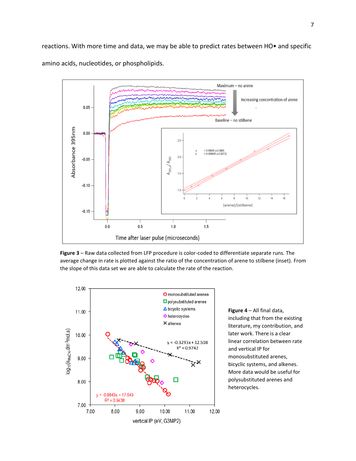reactions. With more time and data, we may be able to predict rates between HO• and specific amino acids, nucleotides, or phospholipids.



**Figure 3** – Raw data collected from LFP procedure is color-coded to differentiate separate runs. The average change in rate is plotted against the ratio of the concentration of arene to stilbene (inset). From the slope of this data set we are able to calculate the rate of the reaction.



**Figure 4** – All final data, including that from the existing literature, my contribution, and later work. There is a clear linear correlation between rate and vertical IP for monosubstituted arenes, bicyclic systems, and alkenes. More data would be useful for polysubstituted arenes and heterocycles.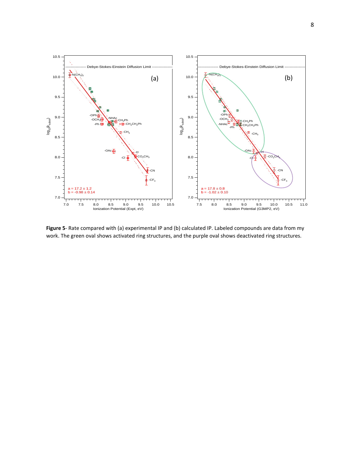

**Figure 5**- Rate compared with (a) experimental IP and (b) calculated IP. Labeled compounds are data from my work. The green oval shows activated ring structures, and the purple oval shows deactivated ring structures.